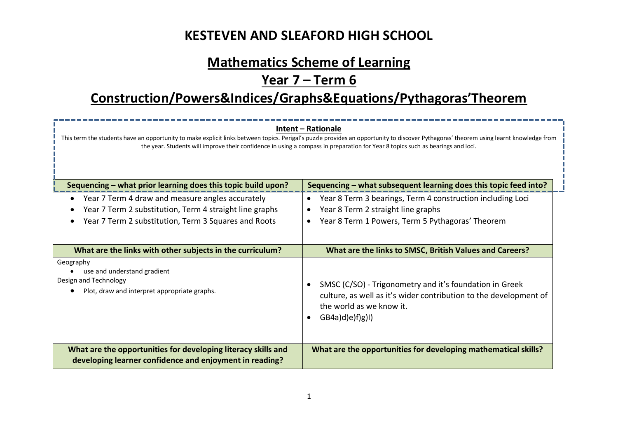# **Mathematics Scheme of Learning**

# **Year 7 – Term 6**

# **Construction/Powers&Indices/Graphs&Equations/Pythagoras'Theorem**

| Intent – Rationale<br>This term the students have an opportunity to make explicit links between topics. Perigal's puzzle provides an opportunity to discover Pythagoras' theorem using learnt knowledge from<br>the year. Students will improve their confidence in using a compass in preparation for Year 8 topics such as bearings and loci. |                                                                                                                                                                                                        |  |  |
|-------------------------------------------------------------------------------------------------------------------------------------------------------------------------------------------------------------------------------------------------------------------------------------------------------------------------------------------------|--------------------------------------------------------------------------------------------------------------------------------------------------------------------------------------------------------|--|--|
| Sequencing - what subsequent learning does this topic feed into?<br>Sequencing – what prior learning does this topic build upon?                                                                                                                                                                                                                |                                                                                                                                                                                                        |  |  |
| Year 7 Term 4 draw and measure angles accurately<br>Year 7 Term 2 substitution, Term 4 straight line graphs<br>Year 7 Term 2 substitution, Term 3 Squares and Roots                                                                                                                                                                             | Year 8 Term 3 bearings, Term 4 construction including Loci<br>$\bullet$<br>Year 8 Term 2 straight line graphs<br>$\bullet$<br>Year 8 Term 1 Powers, Term 5 Pythagoras' Theorem<br>$\bullet$            |  |  |
| What are the links with other subjects in the curriculum?                                                                                                                                                                                                                                                                                       | What are the links to SMSC, British Values and Careers?                                                                                                                                                |  |  |
| Geography<br>use and understand gradient<br>Design and Technology<br>Plot, draw and interpret appropriate graphs.                                                                                                                                                                                                                               | SMSC (C/SO) - Trigonometry and it's foundation in Greek<br>$\bullet$<br>culture, as well as it's wider contribution to the development of<br>the world as we know it.<br>(GB4a)d(e)f(g)1)<br>$\bullet$ |  |  |
| What are the opportunities for developing literacy skills and<br>developing learner confidence and enjoyment in reading?                                                                                                                                                                                                                        | What are the opportunities for developing mathematical skills?                                                                                                                                         |  |  |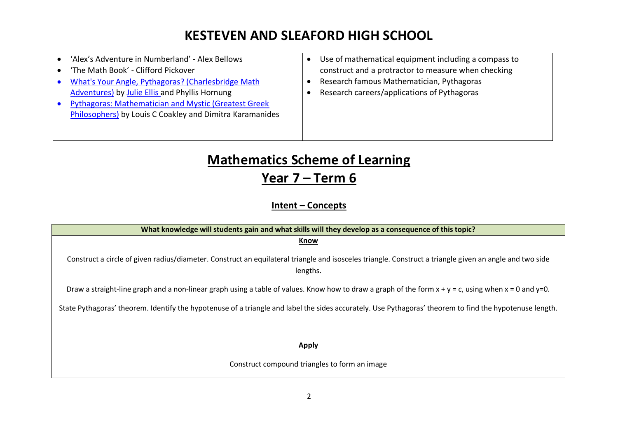| 'Alex's Adventure in Numberland' - Alex Bellows<br>'The Math Book' - Clifford Pickover<br>What's Your Angle, Pythagoras? (Charlesbridge Math<br><b>Adventures) by Julie Ellis and Phyllis Hornung</b><br><b>Pythagoras: Mathematician and Mystic (Greatest Greek)</b><br><b>Philosophers)</b> by Louis C Coakley and Dimitra Karamanides | Use of mathematical equipment including a compass to<br>construct and a protractor to measure when checking<br>Research famous Mathematician, Pythagoras<br>Research careers/applications of Pythagoras |
|------------------------------------------------------------------------------------------------------------------------------------------------------------------------------------------------------------------------------------------------------------------------------------------------------------------------------------------|---------------------------------------------------------------------------------------------------------------------------------------------------------------------------------------------------------|
|                                                                                                                                                                                                                                                                                                                                          |                                                                                                                                                                                                         |

# **Mathematics Scheme of Learning Year 7 – Term 6**

**Intent – Concepts**

| What knowledge will students gain and what skills will they develop as a consequence of this topic?                                                                 |  |  |  |  |
|---------------------------------------------------------------------------------------------------------------------------------------------------------------------|--|--|--|--|
| Know                                                                                                                                                                |  |  |  |  |
| Construct a circle of given radius/diameter. Construct an equilateral triangle and isosceles triangle. Construct a triangle given an angle and two side<br>lengths. |  |  |  |  |
| Draw a straight-line graph and a non-linear graph using a table of values. Know how to draw a graph of the form $x + y = c$ , using when $x = 0$ and $y=0$ .        |  |  |  |  |
| State Pythagoras' theorem. Identify the hypotenuse of a triangle and label the sides accurately. Use Pythagoras' theorem to find the hypotenuse length.             |  |  |  |  |
|                                                                                                                                                                     |  |  |  |  |
| <b>Apply</b>                                                                                                                                                        |  |  |  |  |
| Construct compound triangles to form an image                                                                                                                       |  |  |  |  |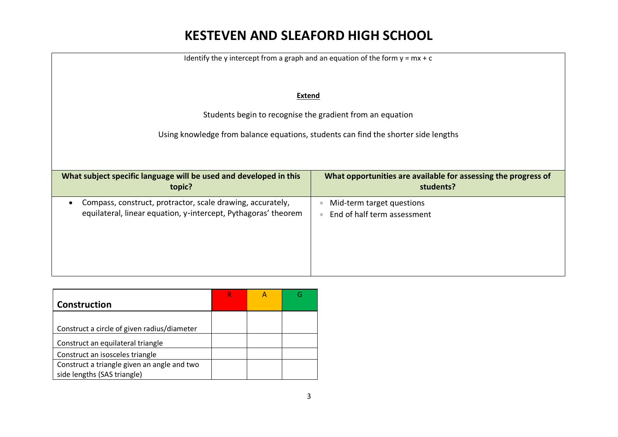| Identify the y intercept from a graph and an equation of the form $y = mx + c$                                               |                                                                             |  |  |
|------------------------------------------------------------------------------------------------------------------------------|-----------------------------------------------------------------------------|--|--|
| <b>Extend</b>                                                                                                                |                                                                             |  |  |
| Students begin to recognise the gradient from an equation                                                                    |                                                                             |  |  |
| Using knowledge from balance equations, students can find the shorter side lengths                                           |                                                                             |  |  |
|                                                                                                                              |                                                                             |  |  |
|                                                                                                                              |                                                                             |  |  |
| What subject specific language will be used and developed in this<br>topic?                                                  | What opportunities are available for assessing the progress of<br>students? |  |  |
| Compass, construct, protractor, scale drawing, accurately,<br>equilateral, linear equation, y-intercept, Pythagoras' theorem | Mid-term target questions<br>End of half term assessment                    |  |  |

| Construction                                |  |  |
|---------------------------------------------|--|--|
|                                             |  |  |
| Construct a circle of given radius/diameter |  |  |
| Construct an equilateral triangle           |  |  |
| Construct an isosceles triangle             |  |  |
| Construct a triangle given an angle and two |  |  |
| side lengths (SAS triangle)                 |  |  |